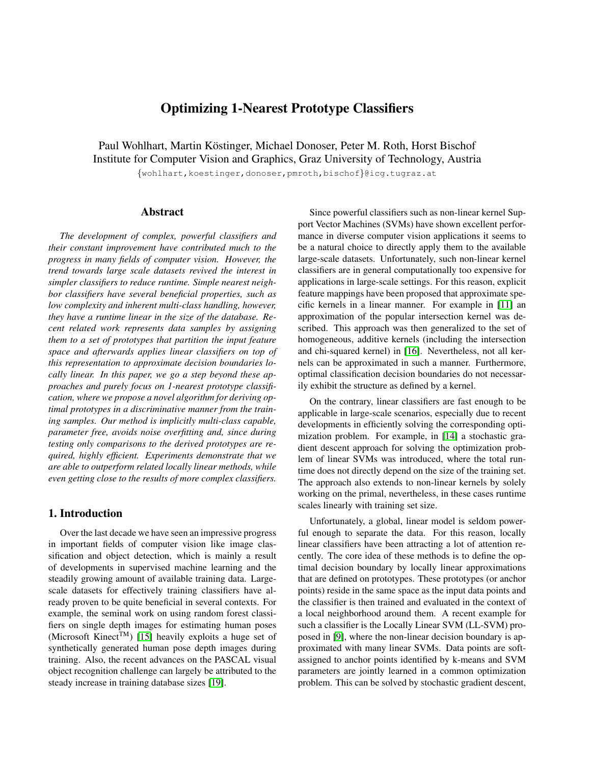# Optimizing 1-Nearest Prototype Classifiers

Paul Wohlhart, Martin Köstinger, Michael Donoser, Peter M. Roth, Horst Bischof Institute for Computer Vision and Graphics, Graz University of Technology, Austria

{wohlhart,koestinger,donoser,pmroth,bischof}@icg.tugraz.at

# Abstract

*The development of complex, powerful classifiers and their constant improvement have contributed much to the progress in many fields of computer vision. However, the trend towards large scale datasets revived the interest in simpler classifiers to reduce runtime. Simple nearest neighbor classifiers have several beneficial properties, such as low complexity and inherent multi-class handling, however, they have a runtime linear in the size of the database. Recent related work represents data samples by assigning them to a set of prototypes that partition the input feature space and afterwards applies linear classifiers on top of this representation to approximate decision boundaries locally linear. In this paper, we go a step beyond these approaches and purely focus on 1-nearest prototype classification, where we propose a novel algorithm for deriving optimal prototypes in a discriminative manner from the training samples. Our method is implicitly multi-class capable, parameter free, avoids noise overfitting and, since during testing only comparisons to the derived prototypes are required, highly efficient. Experiments demonstrate that we are able to outperform related locally linear methods, while even getting close to the results of more complex classifiers.*

### 1. Introduction

Over the last decade we have seen an impressive progress in important fields of computer vision like image classification and object detection, which is mainly a result of developments in supervised machine learning and the steadily growing amount of available training data. Largescale datasets for effectively training classifiers have already proven to be quite beneficial in several contexts. For example, the seminal work on using random forest classifiers on single depth images for estimating human poses (Microsoft Kinect<sup>TM</sup>) [\[15\]](#page-7-0) heavily exploits a huge set of synthetically generated human pose depth images during training. Also, the recent advances on the PASCAL visual object recognition challenge can largely be attributed to the steady increase in training database sizes [\[19\]](#page-7-1).

Since powerful classifiers such as non-linear kernel Support Vector Machines (SVMs) have shown excellent performance in diverse computer vision applications it seems to be a natural choice to directly apply them to the available large-scale datasets. Unfortunately, such non-linear kernel classifiers are in general computationally too expensive for applications in large-scale settings. For this reason, explicit feature mappings have been proposed that approximate specific kernels in a linear manner. For example in [\[11\]](#page-7-2) an approximation of the popular intersection kernel was described. This approach was then generalized to the set of homogeneous, additive kernels (including the intersection and chi-squared kernel) in [\[16\]](#page-7-3). Nevertheless, not all kernels can be approximated in such a manner. Furthermore, optimal classification decision boundaries do not necessarily exhibit the structure as defined by a kernel.

On the contrary, linear classifiers are fast enough to be applicable in large-scale scenarios, especially due to recent developments in efficiently solving the corresponding optimization problem. For example, in [\[14\]](#page-7-4) a stochastic gradient descent approach for solving the optimization problem of linear SVMs was introduced, where the total runtime does not directly depend on the size of the training set. The approach also extends to non-linear kernels by solely working on the primal, nevertheless, in these cases runtime scales linearly with training set size.

Unfortunately, a global, linear model is seldom powerful enough to separate the data. For this reason, locally linear classifiers have been attracting a lot of attention recently. The core idea of these methods is to define the optimal decision boundary by locally linear approximations that are defined on prototypes. These prototypes (or anchor points) reside in the same space as the input data points and the classifier is then trained and evaluated in the context of a local neighborhood around them. A recent example for such a classifier is the Locally Linear SVM (LL-SVM) proposed in [\[9\]](#page-7-5), where the non-linear decision boundary is approximated with many linear SVMs. Data points are softassigned to anchor points identified by k-means and SVM parameters are jointly learned in a common optimization problem. This can be solved by stochastic gradient descent,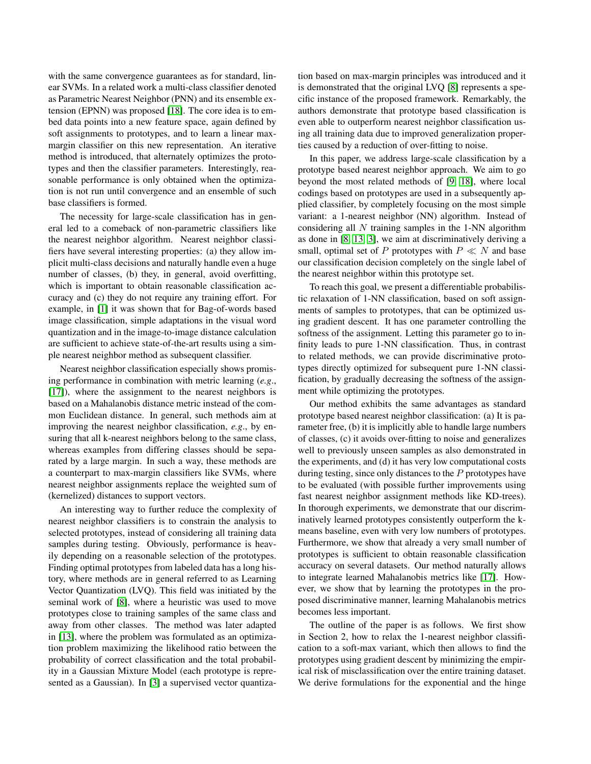with the same convergence guarantees as for standard, linear SVMs. In a related work a multi-class classifier denoted as Parametric Nearest Neighbor (PNN) and its ensemble extension (EPNN) was proposed [\[18\]](#page-7-6). The core idea is to embed data points into a new feature space, again defined by soft assignments to prototypes, and to learn a linear maxmargin classifier on this new representation. An iterative method is introduced, that alternately optimizes the prototypes and then the classifier parameters. Interestingly, reasonable performance is only obtained when the optimization is not run until convergence and an ensemble of such base classifiers is formed.

The necessity for large-scale classification has in general led to a comeback of non-parametric classifiers like the nearest neighbor algorithm. Nearest neighbor classifiers have several interesting properties: (a) they allow implicit multi-class decisions and naturally handle even a huge number of classes, (b) they, in general, avoid overfitting, which is important to obtain reasonable classification accuracy and (c) they do not require any training effort. For example, in [\[1\]](#page-7-7) it was shown that for Bag-of-words based image classification, simple adaptations in the visual word quantization and in the image-to-image distance calculation are sufficient to achieve state-of-the-art results using a simple nearest neighbor method as subsequent classifier.

Nearest neighbor classification especially shows promising performance in combination with metric learning (*e.g*., [\[17\]](#page-7-8)), where the assignment to the nearest neighbors is based on a Mahalanobis distance metric instead of the common Euclidean distance. In general, such methods aim at improving the nearest neighbor classification, *e.g*., by ensuring that all k-nearest neighbors belong to the same class, whereas examples from differing classes should be separated by a large margin. In such a way, these methods are a counterpart to max-margin classifiers like SVMs, where nearest neighbor assignments replace the weighted sum of (kernelized) distances to support vectors.

An interesting way to further reduce the complexity of nearest neighbor classifiers is to constrain the analysis to selected prototypes, instead of considering all training data samples during testing. Obviously, performance is heavily depending on a reasonable selection of the prototypes. Finding optimal prototypes from labeled data has a long history, where methods are in general referred to as Learning Vector Quantization (LVQ). This field was initiated by the seminal work of [\[8\]](#page-7-9), where a heuristic was used to move prototypes close to training samples of the same class and away from other classes. The method was later adapted in [\[13\]](#page-7-10), where the problem was formulated as an optimization problem maximizing the likelihood ratio between the probability of correct classification and the total probability in a Gaussian Mixture Model (each prototype is represented as a Gaussian). In [\[3\]](#page-7-11) a supervised vector quantization based on max-margin principles was introduced and it is demonstrated that the original LVQ [\[8\]](#page-7-9) represents a specific instance of the proposed framework. Remarkably, the authors demonstrate that prototype based classification is even able to outperform nearest neighbor classification using all training data due to improved generalization properties caused by a reduction of over-fitting to noise.

In this paper, we address large-scale classification by a prototype based nearest neighbor approach. We aim to go beyond the most related methods of [\[9,](#page-7-5) [18\]](#page-7-6), where local codings based on prototypes are used in a subsequently applied classifier, by completely focusing on the most simple variant: a 1-nearest neighbor (NN) algorithm. Instead of considering all  $N$  training samples in the 1-NN algorithm as done in [\[8,](#page-7-9) [13,](#page-7-10) [3\]](#page-7-11), we aim at discriminatively deriving a small, optimal set of P prototypes with  $P \ll N$  and base our classification decision completely on the single label of the nearest neighbor within this prototype set.

To reach this goal, we present a differentiable probabilistic relaxation of 1-NN classification, based on soft assignments of samples to prototypes, that can be optimized using gradient descent. It has one parameter controlling the softness of the assignment. Letting this parameter go to infinity leads to pure 1-NN classification. Thus, in contrast to related methods, we can provide discriminative prototypes directly optimized for subsequent pure 1-NN classification, by gradually decreasing the softness of the assignment while optimizing the prototypes.

Our method exhibits the same advantages as standard prototype based nearest neighbor classification: (a) It is parameter free, (b) it is implicitly able to handle large numbers of classes, (c) it avoids over-fitting to noise and generalizes well to previously unseen samples as also demonstrated in the experiments, and (d) it has very low computational costs during testing, since only distances to the  $P$  prototypes have to be evaluated (with possible further improvements using fast nearest neighbor assignment methods like KD-trees). In thorough experiments, we demonstrate that our discriminatively learned prototypes consistently outperform the kmeans baseline, even with very low numbers of prototypes. Furthermore, we show that already a very small number of prototypes is sufficient to obtain reasonable classification accuracy on several datasets. Our method naturally allows to integrate learned Mahalanobis metrics like [\[17\]](#page-7-8). However, we show that by learning the prototypes in the proposed discriminative manner, learning Mahalanobis metrics becomes less important.

The outline of the paper is as follows. We first show in Section 2, how to relax the 1-nearest neighbor classification to a soft-max variant, which then allows to find the prototypes using gradient descent by minimizing the empirical risk of misclassification over the entire training dataset. We derive formulations for the exponential and the hinge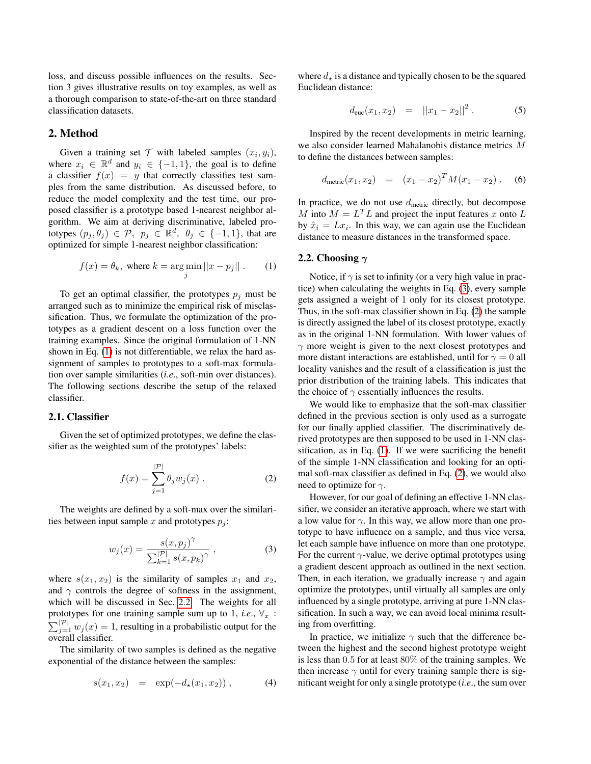loss, and discuss possible influences on the results. Section 3 gives illustrative results on toy examples, as well as a thorough comparison to state-of-the-art on three standard classification datasets.

## 2. Method

Given a training set  $T$  with labeled samples  $(x_i, y_i)$ , where  $x_i \in \mathbb{R}^d$  and  $y_i \in \{-1, 1\}$ , the goal is to define a classifier  $f(x) = y$  that correctly classifies test samples from the same distribution. As discussed before, to reduce the model complexity and the test time, our proposed classifier is a prototype based 1-nearest neighbor algorithm. We aim at deriving discriminative, labeled prototypes  $(p_j, \theta_j) \in \mathcal{P}$ ,  $p_j \in \mathbb{R}^d$ ,  $\theta_j \in \{-1, 1\}$ , that are optimized for simple 1-nearest neighbor classification:

<span id="page-2-0"></span>
$$
f(x) = \theta_k, \text{ where } k = \underset{j}{\text{arg min}} ||x - p_j||. \qquad (1)
$$

To get an optimal classifier, the prototypes  $p_i$  must be arranged such as to minimize the empirical risk of misclassification. Thus, we formulate the optimization of the prototypes as a gradient descent on a loss function over the training examples. Since the original formulation of 1-NN shown in Eq. [\(1\)](#page-2-0) is not differentiable, we relax the hard assignment of samples to prototypes to a soft-max formulation over sample similarities (*i.e*., soft-min over distances). The following sections describe the setup of the relaxed classifier.

#### 2.1. Classifier

Given the set of optimized prototypes, we define the classifier as the weighted sum of the prototypes' labels:

<span id="page-2-3"></span>
$$
f(x) = \sum_{j=1}^{|\mathcal{P}|} \theta_j w_j(x) .
$$
 (2)

The weights are defined by a soft-max over the similarities between input sample x and prototypes  $p_i$ :

<span id="page-2-2"></span>
$$
w_j(x) = \frac{s(x, p_j)^{\gamma}}{\sum_{k=1}^{|\mathcal{P}|} s(x, p_k)^{\gamma}},
$$
\n(3)

where  $s(x_1, x_2)$  is the similarity of samples  $x_1$  and  $x_2$ , and  $\gamma$  controls the degree of softness in the assignment, which will be discussed in Sec. [2.2.](#page-2-1) The weights for all prototypes for one training sample sum up to 1, *i.e.*,  $\forall_x$ :  $\sum_{j=1}^{|\mathcal{P}|} w_j(x) = 1$ , resulting in a probabilistic output for the overall classifier.

The similarity of two samples is defined as the negative exponential of the distance between the samples:

$$
s(x_1, x_2) = \exp(-d_{\star}(x_1, x_2)), \qquad (4)
$$

where  $d_{\tau}$  is a distance and typically chosen to be the squared Euclidean distance:

$$
d_{\rm euc}(x_1,x_2) = ||x_1-x_2||^2. \tag{5}
$$

Inspired by the recent developments in metric learning, we also consider learned Mahalanobis distance metrics M to define the distances between samples:

$$
d_{\text{metric}}(x_1, x_2) = (x_1 - x_2)^T M (x_1 - x_2).
$$
 (6)

In practice, we do not use  $d_{\text{metric}}$  directly, but decompose M into  $M = L<sup>T</sup>L$  and project the input features x onto L by  $\hat{x}_i = Lx_i$ . In this way, we can again use the Euclidean distance to measure distances in the transformed space.

#### <span id="page-2-1"></span>2.2. Choosing  $\gamma$

Notice, if  $\gamma$  is set to infinity (or a very high value in practice) when calculating the weights in Eq. [\(3\)](#page-2-2), every sample gets assigned a weight of 1 only for its closest prototype. Thus, in the soft-max classifier shown in Eq. [\(2\)](#page-2-3) the sample is directly assigned the label of its closest prototype, exactly as in the original 1-NN formulation. With lower values of  $\gamma$  more weight is given to the next closest prototypes and more distant interactions are established, until for  $\gamma = 0$  all locality vanishes and the result of a classification is just the prior distribution of the training labels. This indicates that the choice of  $\gamma$  essentially influences the results.

We would like to emphasize that the soft-max classifier defined in the previous section is only used as a surrogate for our finally applied classifier. The discriminatively derived prototypes are then supposed to be used in 1-NN classification, as in Eq. [\(1\)](#page-2-0). If we were sacrificing the benefit of the simple 1-NN classification and looking for an optimal soft-max classifier as defined in Eq. [\(2\)](#page-2-3), we would also need to optimize for  $\gamma$ .

However, for our goal of defining an effective 1-NN classifier, we consider an iterative approach, where we start with a low value for  $\gamma$ . In this way, we allow more than one prototype to have influence on a sample, and thus vice versa, let each sample have influence on more than one prototype. For the current  $\gamma$ -value, we derive optimal prototypes using a gradient descent approach as outlined in the next section. Then, in each iteration, we gradually increase  $\gamma$  and again optimize the prototypes, until virtually all samples are only influenced by a single prototype, arriving at pure 1-NN classification. In such a way, we can avoid local minima resulting from overfitting.

In practice, we initialize  $\gamma$  such that the difference between the highest and the second highest prototype weight is less than 0.5 for at least 80% of the training samples. We then increase  $\gamma$  until for every training sample there is significant weight for only a single prototype (*i.e*., the sum over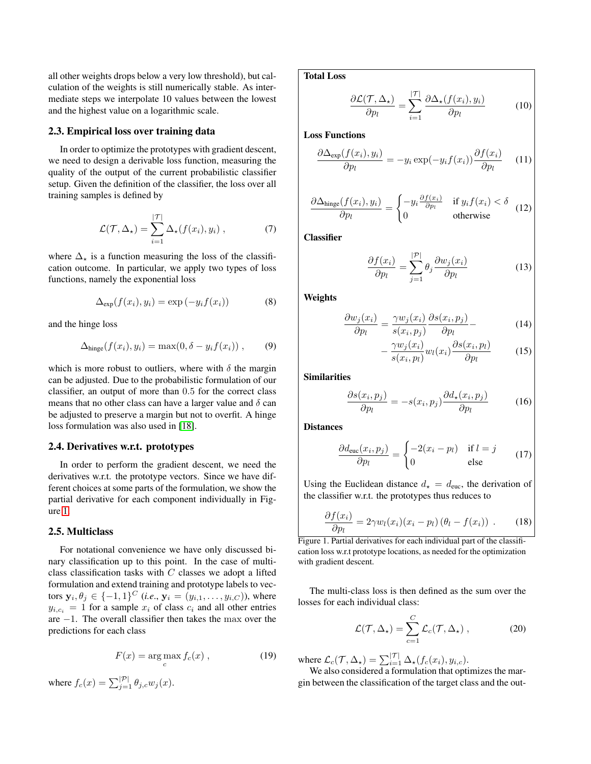all other weights drops below a very low threshold), but calculation of the weights is still numerically stable. As intermediate steps we interpolate 10 values between the lowest and the highest value on a logarithmic scale.

#### 2.3. Empirical loss over training data

In order to optimize the prototypes with gradient descent, we need to design a derivable loss function, measuring the quality of the output of the current probabilistic classifier setup. Given the definition of the classifier, the loss over all training samples is defined by

$$
\mathcal{L}(\mathcal{T}, \Delta_{\star}) = \sum_{i=1}^{|\mathcal{T}|} \Delta_{\star}(f(x_i), y_i) , \qquad (7)
$$

where  $\Delta_{\star}$  is a function measuring the loss of the classification outcome. In particular, we apply two types of loss functions, namely the exponential loss

$$
\Delta_{\exp}(f(x_i), y_i) = \exp(-y_i f(x_i))\tag{8}
$$

and the hinge loss

$$
\Delta_{\text{hinge}}(f(x_i), y_i) = \max(0, \delta - y_i f(x_i)), \qquad (9)
$$

which is more robust to outliers, where with  $\delta$  the margin can be adjusted. Due to the probabilistic formulation of our classifier, an output of more than 0.5 for the correct class means that no other class can have a larger value and  $\delta$  can be adjusted to preserve a margin but not to overfit. A hinge loss formulation was also used in [\[18\]](#page-7-6).

#### 2.4. Derivatives w.r.t. prototypes

In order to perform the gradient descent, we need the derivatives w.r.t. the prototype vectors. Since we have different choices at some parts of the formulation, we show the partial derivative for each component individually in Figure [1.](#page-3-0)

#### 2.5. Multiclass

For notational convenience we have only discussed binary classification up to this point. In the case of multiclass classification tasks with  $C$  classes we adopt a lifted formulation and extend training and prototype labels to vectors  $y_i, \theta_j \in \{-1, 1\}^C$  (*i.e.*,  $y_i = (y_{i,1}, \ldots, y_{i,C})$ ), where  $y_{i,c_i} = 1$  for a sample  $x_i$  of class  $c_i$  and all other entries are −1. The overall classifier then takes the max over the predictions for each class

$$
F(x) = \arg\max_{c} f_c(x) , \qquad (19)
$$

where  $f_c(x) = \sum_{j=1}^{|\mathcal{P}|} \theta_{j,c} w_j(x)$ .

Total Loss

$$
\frac{\partial \mathcal{L}(\mathcal{T}, \Delta_{\star})}{\partial p_l} = \sum_{i=1}^{|\mathcal{T}|} \frac{\partial \Delta_{\star}(f(x_i), y_i)}{\partial p_l}
$$
(10)

Loss Functions

$$
\frac{\partial \Delta_{\exp}(f(x_i), y_i)}{\partial p_l} = -y_i \exp(-y_i f(x_i)) \frac{\partial f(x_i)}{\partial p_l} \quad (11)
$$

$$
\frac{\partial \Delta_{\text{hinge}}(f(x_i), y_i)}{\partial p_l} = \begin{cases} -y_i \frac{\partial f(x_i)}{\partial p_l} & \text{if } y_i f(x_i) < \delta \\ 0 & \text{otherwise} \end{cases} (12)
$$

**Classifier** 

$$
\frac{\partial f(x_i)}{\partial p_l} = \sum_{j=1}^{|\mathcal{P}|} \theta_j \frac{\partial w_j(x_i)}{\partial p_l} \tag{13}
$$

Weights

$$
\frac{\partial w_j(x_i)}{\partial p_l} = \frac{\gamma w_j(x_i)}{s(x_i, p_j)} \frac{\partial s(x_i, p_j)}{\partial p_l} - \tag{14}
$$

$$
-\frac{\gamma w_j(x_i)}{s(x_i, p_l)} w_l(x_i) \frac{\partial s(x_i, p_l)}{\partial p_l} \tag{15}
$$

Similarities

$$
\frac{\partial s(x_i, p_j)}{\partial p_l} = -s(x_i, p_j) \frac{\partial d_\star(x_i, p_j)}{\partial p_l} \tag{16}
$$

**Distances** 

$$
\frac{\partial d_{\text{euc}}(x_i, p_j)}{\partial p_l} = \begin{cases} -2(x_i - p_l) & \text{if } l = j \\ 0 & \text{else} \end{cases}
$$
(17)

Using the Euclidean distance  $d_{\star} = d_{\text{euc}}$ , the derivation of the classifier w.r.t. the prototypes thus reduces to

<span id="page-3-0"></span>
$$
\frac{\partial f(x_i)}{\partial p_l} = 2\gamma w_l(x_i)(x_i - p_l) (\theta_l - f(x_i)) . \tag{18}
$$

Figure 1. Partial derivatives for each individual part of the classification loss w.r.t prototype locations, as needed for the optimization with gradient descent.

The multi-class loss is then defined as the sum over the losses for each individual class:

<span id="page-3-1"></span>
$$
\mathcal{L}(\mathcal{T}, \Delta_{\star}) = \sum_{c=1}^{C} \mathcal{L}_{c}(\mathcal{T}, \Delta_{\star}), \qquad (20)
$$

where  $\mathcal{L}_c(\mathcal{T}, \Delta_\star) = \sum_{i=1}^{|\mathcal{T}|} \Delta_\star(f_c(x_i), y_{i,c}).$ 

We also considered a formulation that optimizes the margin between the classification of the target class and the out-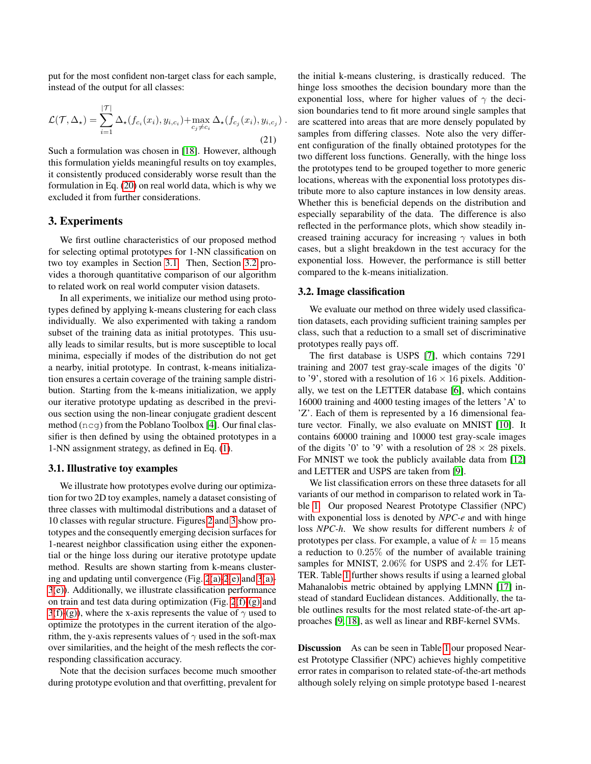put for the most confident non-target class for each sample, instead of the output for all classes:

$$
\mathcal{L}(\mathcal{T}, \Delta_{\star}) = \sum_{i=1}^{|\mathcal{T}|} \Delta_{\star}(f_{c_i}(x_i), y_{i,c_i}) + \max_{c_j \neq c_i} \Delta_{\star}(f_{c_j}(x_i), y_{i,c_j})
$$
\n(21)

Such a formulation was chosen in [\[18\]](#page-7-6). However, although this formulation yields meaningful results on toy examples, it consistently produced considerably worse result than the formulation in Eq. [\(20\)](#page-3-1) on real world data, which is why we excluded it from further considerations.

### 3. Experiments

We first outline characteristics of our proposed method for selecting optimal prototypes for 1-NN classification on two toy examples in Section [3.1.](#page-4-0) Then, Section [3.2](#page-4-1) provides a thorough quantitative comparison of our algorithm to related work on real world computer vision datasets.

In all experiments, we initialize our method using prototypes defined by applying k-means clustering for each class individually. We also experimented with taking a random subset of the training data as initial prototypes. This usually leads to similar results, but is more susceptible to local minima, especially if modes of the distribution do not get a nearby, initial prototype. In contrast, k-means initialization ensures a certain coverage of the training sample distribution. Starting from the k-means initialization, we apply our iterative prototype updating as described in the previous section using the non-linear conjugate gradient descent method (ncg) from the Poblano Toolbox [\[4\]](#page-7-12). Our final classifier is then defined by using the obtained prototypes in a 1-NN assignment strategy, as defined in Eq. [\(1\)](#page-2-0).

#### <span id="page-4-0"></span>3.1. Illustrative toy examples

We illustrate how prototypes evolve during our optimization for two 2D toy examples, namely a dataset consisting of three classes with multimodal distributions and a dataset of 10 classes with regular structure. Figures [2](#page-5-0) and [3](#page-5-1) show prototypes and the consequently emerging decision surfaces for 1-nearest neighbor classification using either the exponential or the hinge loss during our iterative prototype update method. Results are shown starting from k-means clustering and updating until convergence (Fig. [2](#page-5-0)[\(a\)-](#page-5-2)[2](#page-5-0)[\(e\)](#page-5-3) and [3](#page-5-1)[\(a\)-](#page-5-2) [3](#page-5-1)[\(e\)\)](#page-5-3). Additionally, we illustrate classification performance on train and test data during optimization (Fig.  $2(f)-(g)$  $2(f)-(g)$  $2(f)-(g)$ ) and [3](#page-5-1)[\(f\)](#page-5-4)[-\(g\)\)](#page-5-5), where the x-axis represents the value of  $\gamma$  used to optimize the prototypes in the current iteration of the algorithm, the y-axis represents values of  $\gamma$  used in the soft-max over similarities, and the height of the mesh reflects the corresponding classification accuracy.

Note that the decision surfaces become much smoother during prototype evolution and that overfitting, prevalent for the initial k-means clustering, is drastically reduced. The hinge loss smoothes the decision boundary more than the exponential loss, where for higher values of  $\gamma$  the decision boundaries tend to fit more around single samples that are scattered into areas that are more densely populated by samples from differing classes. Note also the very different configuration of the finally obtained prototypes for the two different loss functions. Generally, with the hinge loss the prototypes tend to be grouped together to more generic locations, whereas with the exponential loss prototypes distribute more to also capture instances in low density areas. Whether this is beneficial depends on the distribution and especially separability of the data. The difference is also reflected in the performance plots, which show steadily increased training accuracy for increasing  $\gamma$  values in both cases, but a slight breakdown in the test accuracy for the exponential loss. However, the performance is still better compared to the k-means initialization.

#### <span id="page-4-1"></span>3.2. Image classification

We evaluate our method on three widely used classification datasets, each providing sufficient training samples per class, such that a reduction to a small set of discriminative prototypes really pays off.

The first database is USPS [\[7\]](#page-7-13), which contains 7291 training and 2007 test gray-scale images of the digits '0' to '9', stored with a resolution of  $16 \times 16$  pixels. Additionally, we test on the LETTER database [\[6\]](#page-7-14), which contains 16000 training and 4000 testing images of the letters 'A' to 'Z'. Each of them is represented by a 16 dimensional feature vector. Finally, we also evaluate on MNIST [\[10\]](#page-7-15). It contains 60000 training and 10000 test gray-scale images of the digits '0' to '9' with a resolution of  $28 \times 28$  pixels. For MNIST we took the publicly available data from [\[12\]](#page-7-16) and LETTER and USPS are taken from [\[9\]](#page-7-5).

We list classification errors on these three datasets for all variants of our method in comparison to related work in Table [1.](#page-6-0) Our proposed Nearest Prototype Classifier (NPC) with exponential loss is denoted by *NPC-e* and with hinge loss *NPC-h*. We show results for different numbers k of prototypes per class. For example, a value of  $k = 15$  means a reduction to 0.25% of the number of available training samples for MNIST, 2.06% for USPS and 2.4% for LET-TER. Table [1](#page-6-0) further shows results if using a learned global Mahanalobis metric obtained by applying LMNN [\[17\]](#page-7-8) instead of standard Euclidean distances. Additionally, the table outlines results for the most related state-of-the-art approaches [\[9,](#page-7-5) [18\]](#page-7-6), as well as linear and RBF-kernel SVMs.

Discussion As can be seen in Table [1](#page-6-0) our proposed Nearest Prototype Classifier (NPC) achieves highly competitive error rates in comparison to related state-of-the-art methods although solely relying on simple prototype based 1-nearest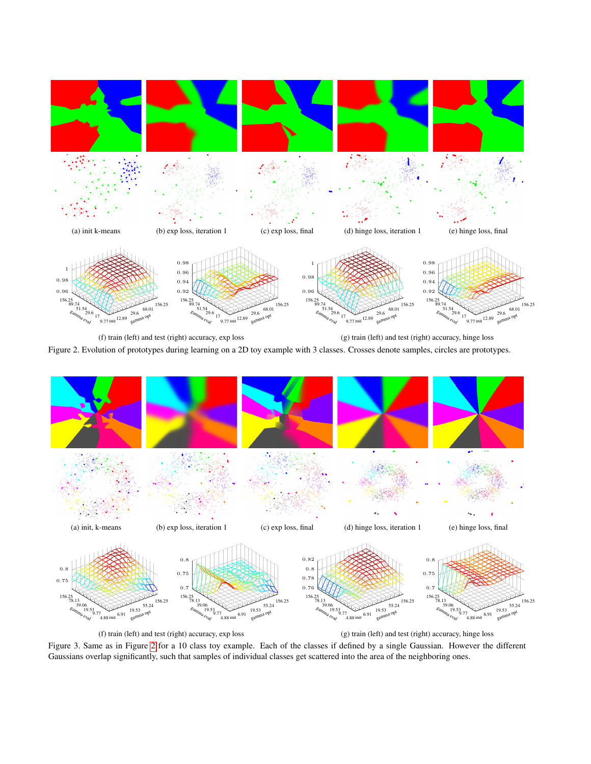

<span id="page-5-5"></span><span id="page-5-4"></span><span id="page-5-0"></span>(f) train (left) and test (right) accuracy, exp loss (g) train (left) and test (right) accuracy, hinge loss Figure 2. Evolution of prototypes during learning on a 2D toy example with 3 classes. Crosses denote samples, circles are prototypes.

<span id="page-5-2"></span>

<span id="page-5-1"></span>(f) train (left) and test (right) accuracy, exp loss

<span id="page-5-3"></span>(g) train (left) and test (right) accuracy, hinge loss

Figure 3. Same as in Figure [2](#page-5-0) for a 10 class toy example. Each of the classes if defined by a single Gaussian. However the different Gaussians overlap significantly, such that samples of individual classes get scattered into the area of the neighboring ones.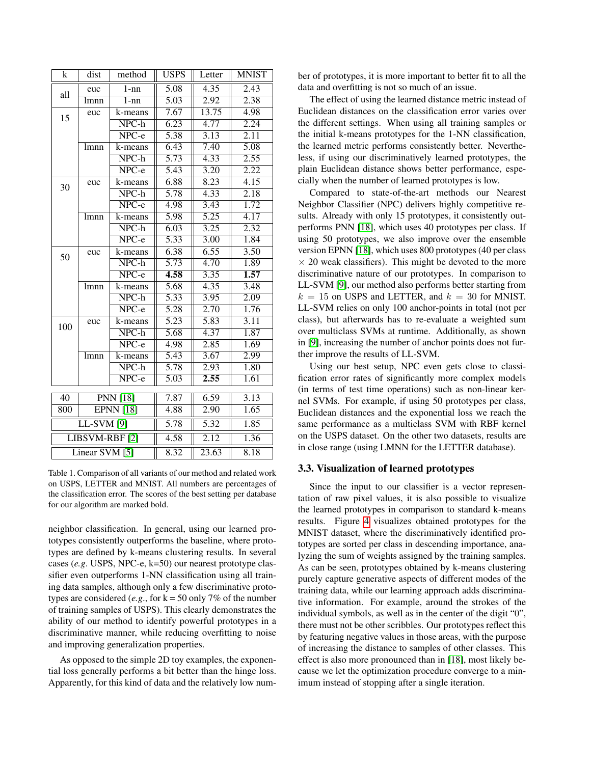| k                         | dist            | method                    | <b>USPS</b>       | Letter            | <b>MNIST</b>      |
|---------------------------|-----------------|---------------------------|-------------------|-------------------|-------------------|
| all                       | euc             | $1 - nn$                  | 5.08              | 4.35              | 2.43              |
|                           | lmnn            | $1 - nn$                  | 5.03              | 2.92              | 2.38              |
| 15                        | euc             | k-means                   | 7.67              | 13.75             | 4.98              |
|                           |                 | NPC-h                     | 6.23              | 4.77              | 2.24              |
|                           |                 | NPC-e                     | 5.38              | 3.13              | 2.11              |
|                           | lmnn            | k-means                   | 6.43              | 7.40              | 5.08              |
|                           |                 | $NPC-h$                   | $\overline{5.73}$ | 4.33              | 2.55              |
|                           |                 | NPC-e                     | $\overline{5.43}$ | $\overline{3.20}$ | 2.22              |
| 30                        | euc             | k-means                   | 6.88              | 8.23              | 4.15              |
|                           |                 | $\overline{\text{NPC-h}}$ | $\overline{5.78}$ | $\overline{4.33}$ | $\overline{2.18}$ |
|                           |                 | $NPC-e$                   | 4.98              | 3.43              | 1.72              |
|                           | lmnn            | k-means                   | 5.98              | $\overline{5.25}$ | 4.17              |
|                           |                 | $NPC-h$                   | 6.03              | 3.25              | 2.32              |
|                           |                 | NPC-e                     | 5.33              | 3.00              | 1.84              |
| 50                        | euc             | k-means                   | 6.38              | 6.55              | 3.50              |
|                           |                 | NPC-h                     | $\overline{5.73}$ | 4.70              | 1.89              |
|                           |                 | $NPC-e$                   | 4.58              | 3.35              | $\overline{1.57}$ |
|                           | lmnn            | k-means                   | 5.68              | 4.35              | 3.48              |
|                           |                 | $NPC-h$                   | $\overline{5.33}$ | 3.95              | 2.09              |
|                           |                 | $NPC-e$                   | $\overline{5.28}$ | $\overline{2.70}$ | 1.76              |
| 100                       | euc             | k-means                   | 5.23              | 5.83              | 3.11              |
|                           |                 | $\overline{\text{NPC-h}}$ | 5.68              | 4.37              | 1.87              |
|                           |                 | NPC-e                     | 4.98              | 2.85              | 1.69              |
|                           | lmnn            | k-means                   | 5.43              | 3.67              | 2.99              |
|                           |                 | $\overline{\text{NPC-h}}$ | $\overline{5.78}$ | 2.93              | 1.80              |
|                           |                 | $NPC-e$                   | 5.03              | 2.55              | 1.61              |
|                           |                 |                           |                   |                   |                   |
| 40                        | <b>PNN [18]</b> |                           | 7.87              | 6.59              | 3.13              |
| 800<br><b>EPNN</b> [18]   |                 |                           | 4.88              | 2.90              | 1.65              |
| <b>LL-SVM</b> [9]         |                 |                           | 5.78              | 5.32              | 1.85              |
| LIBSVM-RBF <sup>[2]</sup> |                 |                           | 4.58              | $\overline{2.12}$ | 1.36              |
| Linear SVM [5]            |                 |                           | 8.32              | 23.63             | 8.18              |

<span id="page-6-0"></span>Table 1. Comparison of all variants of our method and related work on USPS, LETTER and MNIST. All numbers are percentages of the classification error. The scores of the best setting per database for our algorithm are marked bold.

neighbor classification. In general, using our learned prototypes consistently outperforms the baseline, where prototypes are defined by k-means clustering results. In several cases (*e.g*. USPS, NPC-e, k=50) our nearest prototype classifier even outperforms 1-NN classification using all training data samples, although only a few discriminative prototypes are considered (*e.g.*, for  $k = 50$  only 7% of the number of training samples of USPS). This clearly demonstrates the ability of our method to identify powerful prototypes in a discriminative manner, while reducing overfitting to noise and improving generalization properties.

As opposed to the simple 2D toy examples, the exponential loss generally performs a bit better than the hinge loss. Apparently, for this kind of data and the relatively low number of prototypes, it is more important to better fit to all the data and overfitting is not so much of an issue.

The effect of using the learned distance metric instead of Euclidean distances on the classification error varies over the different settings. When using all training samples or the initial k-means prototypes for the 1-NN classification, the learned metric performs consistently better. Nevertheless, if using our discriminatively learned prototypes, the plain Euclidean distance shows better performance, especially when the number of learned prototypes is low.

Compared to state-of-the-art methods our Nearest Neighbor Classifier (NPC) delivers highly competitive results. Already with only 15 prototypes, it consistently outperforms PNN [\[18\]](#page-7-6), which uses 40 prototypes per class. If using 50 prototypes, we also improve over the ensemble version EPNN [\[18\]](#page-7-6), which uses 800 prototypes (40 per class  $\times$  20 weak classifiers). This might be devoted to the more discriminative nature of our prototypes. In comparison to LL-SVM [\[9\]](#page-7-5), our method also performs better starting from  $k = 15$  on USPS and LETTER, and  $k = 30$  for MNIST. LL-SVM relies on only 100 anchor-points in total (not per class), but afterwards has to re-evaluate a weighted sum over multiclass SVMs at runtime. Additionally, as shown in [\[9\]](#page-7-5), increasing the number of anchor points does not further improve the results of LL-SVM.

Using our best setup, NPC even gets close to classification error rates of significantly more complex models (in terms of test time operations) such as non-linear kernel SVMs. For example, if using 50 prototypes per class, Euclidean distances and the exponential loss we reach the same performance as a multiclass SVM with RBF kernel on the USPS dataset. On the other two datasets, results are in close range (using LMNN for the LETTER database).

#### 3.3. Visualization of learned prototypes

Since the input to our classifier is a vector representation of raw pixel values, it is also possible to visualize the learned prototypes in comparison to standard k-means results. Figure [4](#page-7-19) visualizes obtained prototypes for the MNIST dataset, where the discriminatively identified prototypes are sorted per class in descending importance, analyzing the sum of weights assigned by the training samples. As can be seen, prototypes obtained by k-means clustering purely capture generative aspects of different modes of the training data, while our learning approach adds discriminative information. For example, around the strokes of the individual symbols, as well as in the center of the digit "0", there must not be other scribbles. Our prototypes reflect this by featuring negative values in those areas, with the purpose of increasing the distance to samples of other classes. This effect is also more pronounced than in [\[18\]](#page-7-6), most likely because we let the optimization procedure converge to a minimum instead of stopping after a single iteration.